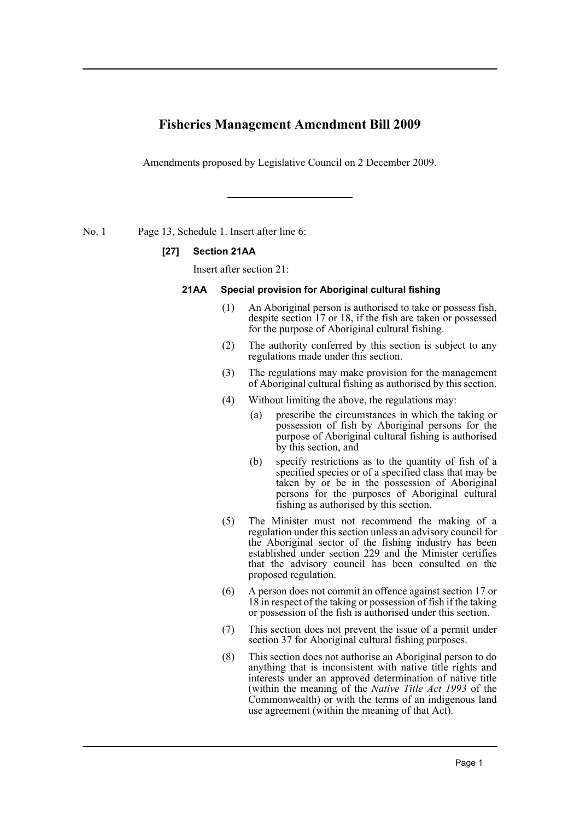# **Fisheries Management Amendment Bill 2009**

Amendments proposed by Legislative Council on 2 December 2009.

No. 1 Page 13, Schedule 1. Insert after line 6:

#### **[27] Section 21AA**

Insert after section 21:

#### **21AA Special provision for Aboriginal cultural fishing**

- (1) An Aboriginal person is authorised to take or possess fish, despite section 17 or 18, if the fish are taken or possessed for the purpose of Aboriginal cultural fishing.
- (2) The authority conferred by this section is subject to any regulations made under this section.
- (3) The regulations may make provision for the management of Aboriginal cultural fishing as authorised by this section.
- (4) Without limiting the above, the regulations may:
	- (a) prescribe the circumstances in which the taking or possession of fish by Aboriginal persons for the purpose of Aboriginal cultural fishing is authorised by this section, and
	- (b) specify restrictions as to the quantity of fish of a specified species or of a specified class that may be taken by or be in the possession of Aboriginal persons for the purposes of Aboriginal cultural fishing as authorised by this section.
- (5) The Minister must not recommend the making of a regulation under this section unless an advisory council for the Aboriginal sector of the fishing industry has been established under section 229 and the Minister certifies that the advisory council has been consulted on the proposed regulation.
- (6) A person does not commit an offence against section 17 or 18 in respect of the taking or possession of fish if the taking or possession of the fish is authorised under this section.
- (7) This section does not prevent the issue of a permit under section 37 for Aboriginal cultural fishing purposes.
- (8) This section does not authorise an Aboriginal person to do anything that is inconsistent with native title rights and interests under an approved determination of native title (within the meaning of the *Native Title Act 1993* of the Commonwealth) or with the terms of an indigenous land use agreement (within the meaning of that Act).